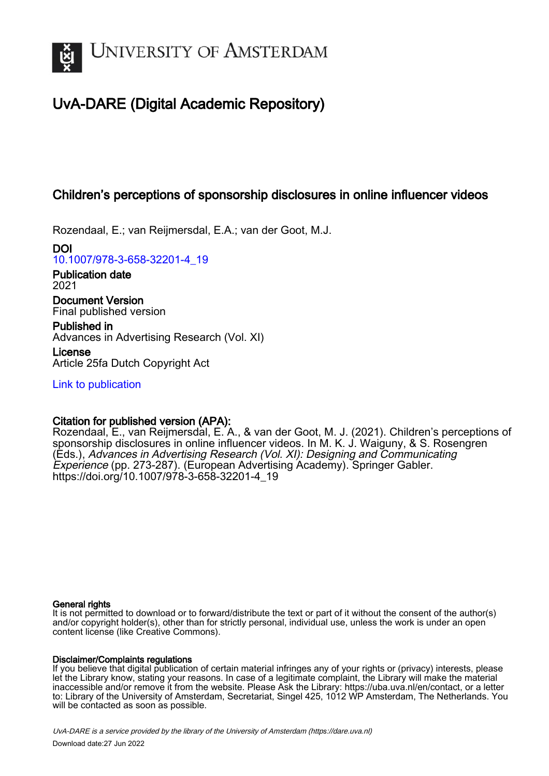

# UvA-DARE (Digital Academic Repository)

## Children's perceptions of sponsorship disclosures in online influencer videos

Rozendaal, E.; van Reijmersdal, E.A.; van der Goot, M.J.

DOI [10.1007/978-3-658-32201-4\\_19](https://doi.org/10.1007/978-3-658-32201-4_19)

Publication date 2021

Document Version Final published version

Published in Advances in Advertising Research (Vol. XI)

License Article 25fa Dutch Copyright Act

[Link to publication](https://dare.uva.nl/personal/pure/en/publications/childrens-perceptions-of-sponsorship-disclosures-in-online-influencer-videos(9d9be637-9097-4e0d-bbca-c286d23c2f45).html)

## Citation for published version (APA):

Rozendaal, E., van Reijmersdal, E. A., & van der Goot, M. J. (2021). Children's perceptions of sponsorship disclosures in online influencer videos. In M. K. J. Waiguny, & S. Rosengren (Eds.), Advances in Advertising Research (Vol. XI): Designing and Communicating Experience (pp. 273-287). (European Advertising Academy). Springer Gabler. [https://doi.org/10.1007/978-3-658-32201-4\\_19](https://doi.org/10.1007/978-3-658-32201-4_19)

#### General rights

It is not permitted to download or to forward/distribute the text or part of it without the consent of the author(s) and/or copyright holder(s), other than for strictly personal, individual use, unless the work is under an open content license (like Creative Commons).

## Disclaimer/Complaints regulations

If you believe that digital publication of certain material infringes any of your rights or (privacy) interests, please let the Library know, stating your reasons. In case of a legitimate complaint, the Library will make the material inaccessible and/or remove it from the website. Please Ask the Library: https://uba.uva.nl/en/contact, or a letter to: Library of the University of Amsterdam, Secretariat, Singel 425, 1012 WP Amsterdam, The Netherlands. You will be contacted as soon as possible.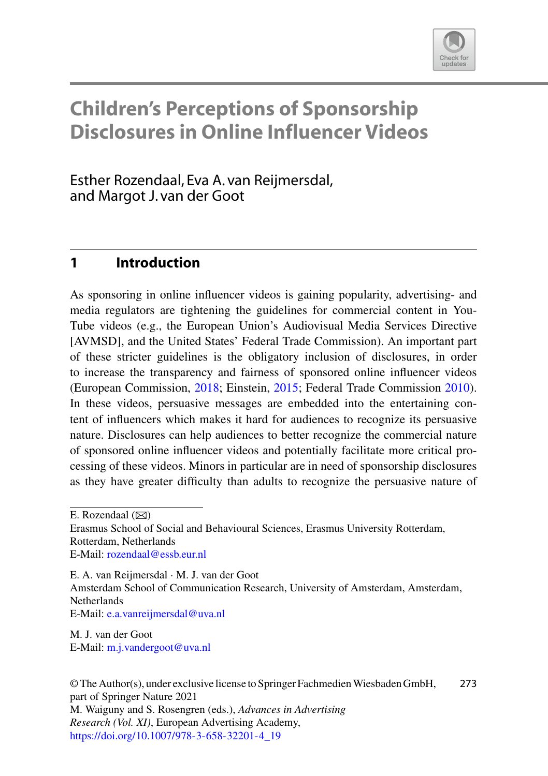

## **Children's Perceptions of Sponsorship Disclosures in Online Influencer Videos**

Esther Rozendaal, Eva A. van Reijmersdal, and Margot J. van der Goot

## **1 Introduction**

As sponsoring in online influencer videos is gaining popularity, advertising- and media regulators are tightening the guidelines for commercial content in You-Tube videos (e.g., the European Union's Audiovisual Media Services Directive [AVMSD], and the United States' Federal Trade Commission). An important part of these stricter guidelines is the obligatory inclusion of disclosures, in order to increase the transparency and fairness of sponsored online influencer videos (European Commission, [2018;](#page-14-0) Einstein, [2015;](#page-14-1) Federal Trade Commission [2010\)](#page-14-2). In these videos, persuasive messages are embedded into the entertaining content of influencers which makes it hard for audiences to recognize its persuasive nature. Disclosures can help audiences to better recognize the commercial nature of sponsored online influencer videos and potentially facilitate more critical processing of these videos. Minors in particular are in need of sponsorship disclosures as they have greater difficulty than adults to recognize the persuasive nature of

E. Rozendaal  $(\boxtimes)$ 

Erasmus School of Social and Behavioural Sciences, Erasmus University Rotterdam, Rotterdam, Netherlands E-Mail: [rozendaal@essb.eur.nl](mailto:rozendaal@essb.eur.nl)

E. A. van Reijmersdal · M. J. van der Goot Amsterdam School of Communication Research, University of Amsterdam, Amsterdam, Netherlands E-Mail: [e.a.vanreijmersdal@uva.nl](mailto:e.a.vanreijmersdal@uva.nl)

M. J. van der Goot E-Mail: [m.j.vandergoot@uva.nl](mailto:m.j.vandergoot@uva.nl)

© The Author(s), under exclusive license to Springer FachmedienWiesbaden GmbH, part of Springer Nature 2021 M. Waiguny and S. Rosengren (eds.), *Advances in Advertising Research (Vol. XI)*, European Advertising Academy, [https://doi.org/10.1007/978-3-658-32201-4\\_19](https://doi.org/10.1007/978-3-658-32201-4_19) 273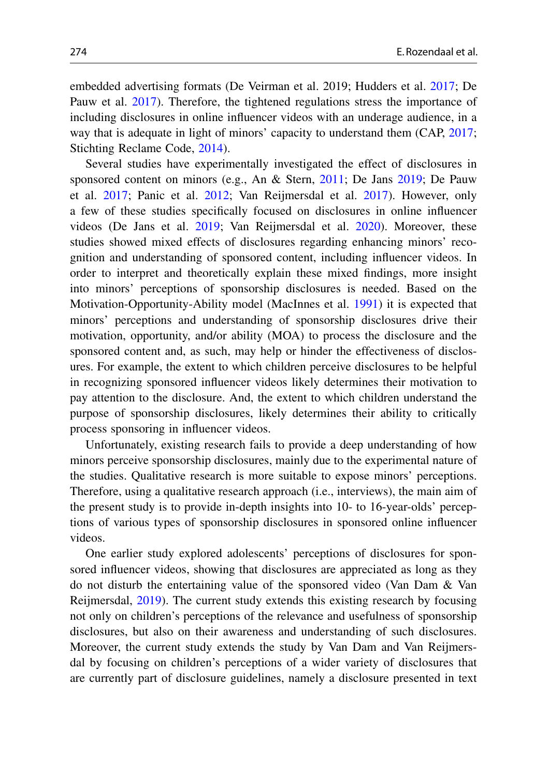embedded advertising formats (De Veirman et al. 2019; Hudders et al. [2017;](#page-14-3) De Pauw et al. [2017\)](#page-14-4). Therefore, the tightened regulations stress the importance of including disclosures in online influencer videos with an underage audience, in a way that is adequate in light of minors' capacity to understand them (CAP, [2017;](#page-14-5) Stichting Reclame Code, [2014\)](#page-15-0).

Several studies have experimentally investigated the effect of disclosures in sponsored content on minors (e.g., An & Stern, [2011;](#page-14-6) De Jans [2019;](#page-14-7) De Pauw et al. [2017;](#page-14-4) Panic et al. [2012;](#page-15-1) Van Reijmersdal et al. [2017\)](#page-15-2). However, only a few of these studies specifically focused on disclosures in online influencer videos (De Jans et al. [2019;](#page-14-7) Van Reijmersdal et al. [2020\)](#page-15-3). Moreover, these studies showed mixed effects of disclosures regarding enhancing minors' recognition and understanding of sponsored content, including influencer videos. In order to interpret and theoretically explain these mixed findings, more insight into minors' perceptions of sponsorship disclosures is needed. Based on the Motivation-Opportunity-Ability model (MacInnes et al. [1991\)](#page-15-4) it is expected that minors' perceptions and understanding of sponsorship disclosures drive their motivation, opportunity, and/or ability (MOA) to process the disclosure and the sponsored content and, as such, may help or hinder the effectiveness of disclosures. For example, the extent to which children perceive disclosures to be helpful in recognizing sponsored influencer videos likely determines their motivation to pay attention to the disclosure. And, the extent to which children understand the purpose of sponsorship disclosures, likely determines their ability to critically process sponsoring in influencer videos.

Unfortunately, existing research fails to provide a deep understanding of how minors perceive sponsorship disclosures, mainly due to the experimental nature of the studies. Qualitative research is more suitable to expose minors' perceptions. Therefore, using a qualitative research approach (i.e., interviews), the main aim of the present study is to provide in-depth insights into 10- to 16-year-olds' perceptions of various types of sponsorship disclosures in sponsored online influencer videos.

One earlier study explored adolescents' perceptions of disclosures for sponsored influencer videos, showing that disclosures are appreciated as long as they do not disturb the entertaining value of the sponsored video (Van Dam & Van Reijmersdal, [2019\)](#page-15-5). The current study extends this existing research by focusing not only on children's perceptions of the relevance and usefulness of sponsorship disclosures, but also on their awareness and understanding of such disclosures. Moreover, the current study extends the study by Van Dam and Van Reijmersdal by focusing on children's perceptions of a wider variety of disclosures that are currently part of disclosure guidelines, namely a disclosure presented in text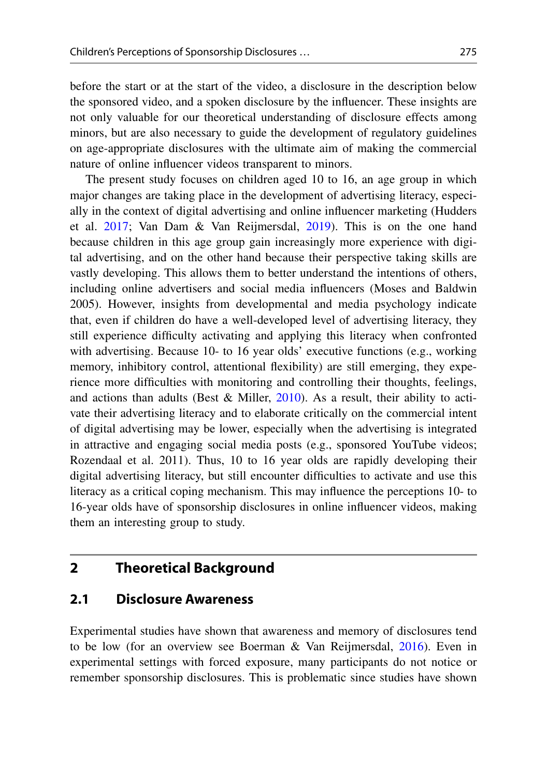before the start or at the start of the video, a disclosure in the description below the sponsored video, and a spoken disclosure by the influencer. These insights are not only valuable for our theoretical understanding of disclosure effects among minors, but are also necessary to guide the development of regulatory guidelines on age-appropriate disclosures with the ultimate aim of making the commercial nature of online influencer videos transparent to minors.

The present study focuses on children aged 10 to 16, an age group in which major changes are taking place in the development of advertising literacy, especially in the context of digital advertising and online influencer marketing (Hudders et al. [2017;](#page-14-3) Van Dam & Van Reijmersdal, [2019\)](#page-15-5). This is on the one hand because children in this age group gain increasingly more experience with digital advertising, and on the other hand because their perspective taking skills are vastly developing. This allows them to better understand the intentions of others, including online advertisers and social media influencers (Moses and Baldwin 2005). However, insights from developmental and media psychology indicate that, even if children do have a well-developed level of advertising literacy, they still experience difficulty activating and applying this literacy when confronted with advertising. Because 10- to 16 year olds' executive functions (e.g., working memory, inhibitory control, attentional flexibility) are still emerging, they experience more difficulties with monitoring and controlling their thoughts, feelings, and actions than adults (Best & Miller,  $2010$ ). As a result, their ability to activate their advertising literacy and to elaborate critically on the commercial intent of digital advertising may be lower, especially when the advertising is integrated in attractive and engaging social media posts (e.g., sponsored YouTube videos; Rozendaal et al. 2011). Thus, 10 to 16 year olds are rapidly developing their digital advertising literacy, but still encounter difficulties to activate and use this literacy as a critical coping mechanism. This may influence the perceptions 10- to 16-year olds have of sponsorship disclosures in online influencer videos, making them an interesting group to study.

#### **2 Theoretical Background**

#### **2.1 Disclosure Awareness**

Experimental studies have shown that awareness and memory of disclosures tend to be low (for an overview see Boerman & Van Reijmersdal, [2016\)](#page-14-9). Even in experimental settings with forced exposure, many participants do not notice or remember sponsorship disclosures. This is problematic since studies have shown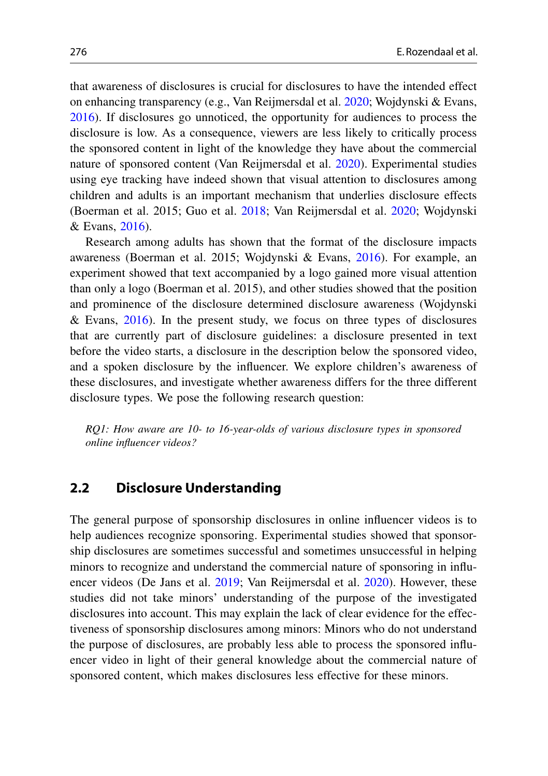that awareness of disclosures is crucial for disclosures to have the intended effect on enhancing transparency (e.g., Van Reijmersdal et al. [2020;](#page-15-3) Wojdynski & Evans, [2016\)](#page-15-6). If disclosures go unnoticed, the opportunity for audiences to process the disclosure is low. As a consequence, viewers are less likely to critically process the sponsored content in light of the knowledge they have about the commercial nature of sponsored content (Van Reijmersdal et al. [2020\)](#page-15-3). Experimental studies using eye tracking have indeed shown that visual attention to disclosures among children and adults is an important mechanism that underlies disclosure effects (Boerman et al. 2015; Guo et al. [2018;](#page-14-10) Van Reijmersdal et al. [2020;](#page-15-3) Wojdynski & Evans, [2016\)](#page-15-6).

Research among adults has shown that the format of the disclosure impacts awareness (Boerman et al. 2015; Wojdynski & Evans, [2016\)](#page-15-6). For example, an experiment showed that text accompanied by a logo gained more visual attention than only a logo (Boerman et al. 2015), and other studies showed that the position and prominence of the disclosure determined disclosure awareness (Wojdynski & Evans, [2016\)](#page-15-6). In the present study, we focus on three types of disclosures that are currently part of disclosure guidelines: a disclosure presented in text before the video starts, a disclosure in the description below the sponsored video, and a spoken disclosure by the influencer. We explore children's awareness of these disclosures, and investigate whether awareness differs for the three different disclosure types. We pose the following research question:

*RQ1: How aware are 10- to 16-year-olds of various disclosure types in sponsored online influencer videos?*

### **2.2 Disclosure Understanding**

The general purpose of sponsorship disclosures in online influencer videos is to help audiences recognize sponsoring. Experimental studies showed that sponsorship disclosures are sometimes successful and sometimes unsuccessful in helping minors to recognize and understand the commercial nature of sponsoring in influencer videos (De Jans et al. [2019;](#page-14-7) Van Reijmersdal et al. [2020\)](#page-15-3). However, these studies did not take minors' understanding of the purpose of the investigated disclosures into account. This may explain the lack of clear evidence for the effectiveness of sponsorship disclosures among minors: Minors who do not understand the purpose of disclosures, are probably less able to process the sponsored influencer video in light of their general knowledge about the commercial nature of sponsored content, which makes disclosures less effective for these minors.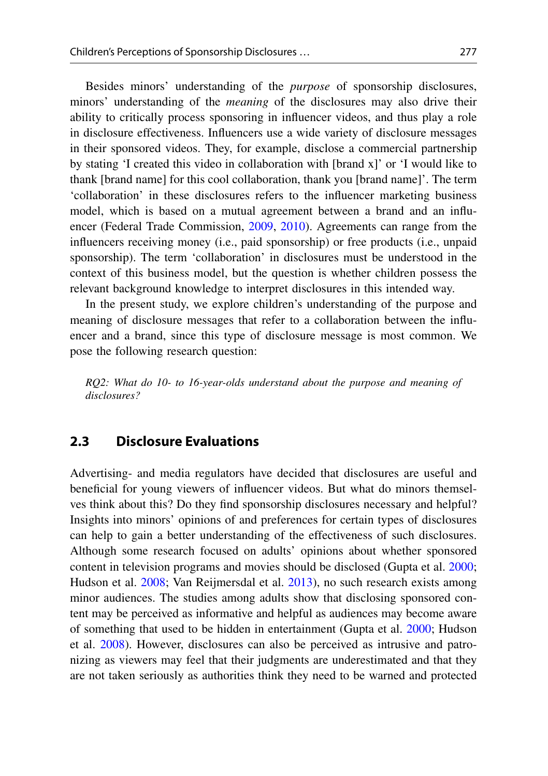Besides minors' understanding of the *purpose* of sponsorship disclosures, minors' understanding of the *meaning* of the disclosures may also drive their ability to critically process sponsoring in influencer videos, and thus play a role in disclosure effectiveness. Influencers use a wide variety of disclosure messages in their sponsored videos. They, for example, disclose a commercial partnership by stating 'I created this video in collaboration with [brand x]' or 'I would like to thank [brand name] for this cool collaboration, thank you [brand name]'. The term 'collaboration' in these disclosures refers to the influencer marketing business model, which is based on a mutual agreement between a brand and an influencer (Federal Trade Commission, [2009,](#page-14-11) [2010\)](#page-14-2). Agreements can range from the influencers receiving money (i.e., paid sponsorship) or free products (i.e., unpaid sponsorship). The term 'collaboration' in disclosures must be understood in the context of this business model, but the question is whether children possess the relevant background knowledge to interpret disclosures in this intended way.

In the present study, we explore children's understanding of the purpose and meaning of disclosure messages that refer to a collaboration between the influencer and a brand, since this type of disclosure message is most common. We pose the following research question:

*RQ2: What do 10- to 16-year-olds understand about the purpose and meaning of disclosures?*

### **2.3 Disclosure Evaluations**

Advertising- and media regulators have decided that disclosures are useful and beneficial for young viewers of influencer videos. But what do minors themselves think about this? Do they find sponsorship disclosures necessary and helpful? Insights into minors' opinions of and preferences for certain types of disclosures can help to gain a better understanding of the effectiveness of such disclosures. Although some research focused on adults' opinions about whether sponsored content in television programs and movies should be disclosed (Gupta et al. [2000;](#page-14-12) Hudson et al. [2008;](#page-14-13) Van Reijmersdal et al. [2013\)](#page-15-7), no such research exists among minor audiences. The studies among adults show that disclosing sponsored content may be perceived as informative and helpful as audiences may become aware of something that used to be hidden in entertainment (Gupta et al. [2000;](#page-14-12) Hudson et al. [2008\)](#page-14-13). However, disclosures can also be perceived as intrusive and patronizing as viewers may feel that their judgments are underestimated and that they are not taken seriously as authorities think they need to be warned and protected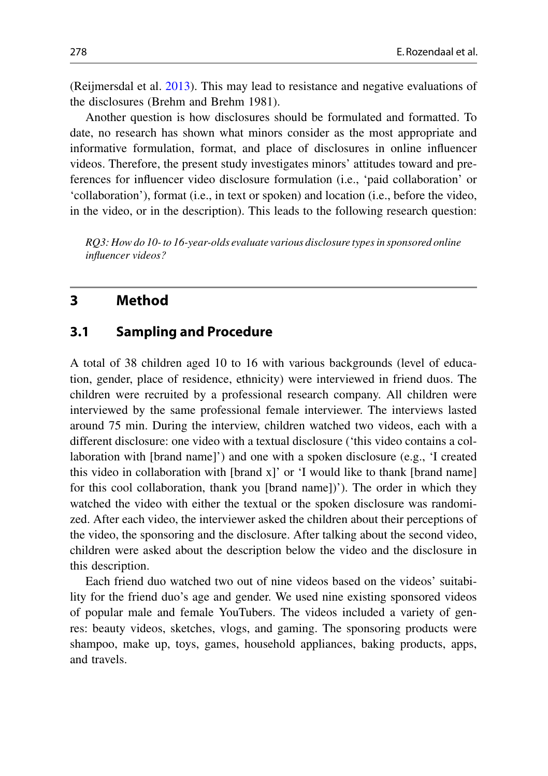(Reijmersdal et al. [2013\)](#page-15-7). This may lead to resistance and negative evaluations of the disclosures (Brehm and Brehm 1981).

Another question is how disclosures should be formulated and formatted. To date, no research has shown what minors consider as the most appropriate and informative formulation, format, and place of disclosures in online influencer videos. Therefore, the present study investigates minors' attitudes toward and preferences for influencer video disclosure formulation (i.e., 'paid collaboration' or 'collaboration'), format (i.e., in text or spoken) and location (i.e., before the video, in the video, or in the description). This leads to the following research question:

*RQ3: How do 10- to 16-year-olds evaluate various disclosure types in sponsored online influencer videos?*

## **3 Method**

#### **3.1 Sampling and Procedure**

A total of 38 children aged 10 to 16 with various backgrounds (level of education, gender, place of residence, ethnicity) were interviewed in friend duos. The children were recruited by a professional research company. All children were interviewed by the same professional female interviewer. The interviews lasted around 75 min. During the interview, children watched two videos, each with a different disclosure: one video with a textual disclosure ('this video contains a collaboration with [brand name]') and one with a spoken disclosure (e.g., 'I created this video in collaboration with [brand x]' or 'I would like to thank [brand name] for this cool collaboration, thank you [brand name])'). The order in which they watched the video with either the textual or the spoken disclosure was randomized. After each video, the interviewer asked the children about their perceptions of the video, the sponsoring and the disclosure. After talking about the second video, children were asked about the description below the video and the disclosure in this description.

Each friend duo watched two out of nine videos based on the videos' suitability for the friend duo's age and gender. We used nine existing sponsored videos of popular male and female YouTubers. The videos included a variety of genres: beauty videos, sketches, vlogs, and gaming. The sponsoring products were shampoo, make up, toys, games, household appliances, baking products, apps, and travels.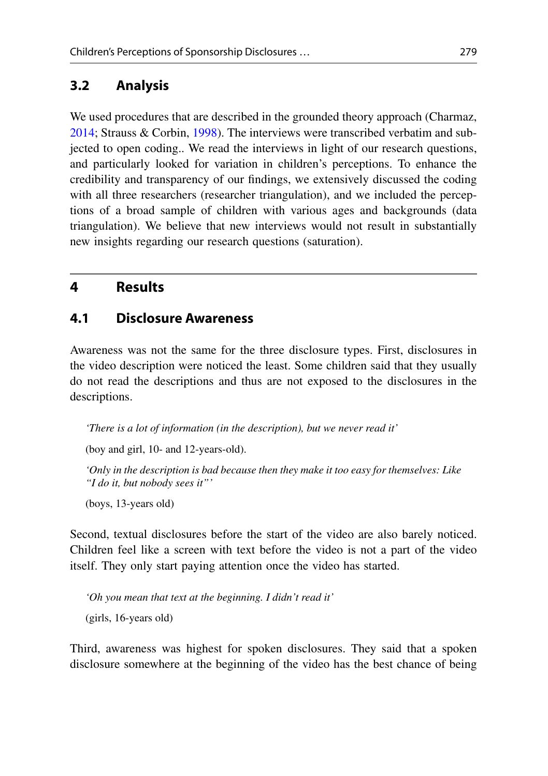## **3.2 Analysis**

We used procedures that are described in the grounded theory approach (Charmaz, [2014;](#page-14-14) Strauss & Corbin, [1998\)](#page-15-8). The interviews were transcribed verbatim and subjected to open coding.. We read the interviews in light of our research questions, and particularly looked for variation in children's perceptions. To enhance the credibility and transparency of our findings, we extensively discussed the coding with all three researchers (researcher triangulation), and we included the perceptions of a broad sample of children with various ages and backgrounds (data triangulation). We believe that new interviews would not result in substantially new insights regarding our research questions (saturation).

## **4 Results**

#### **4.1 Disclosure Awareness**

Awareness was not the same for the three disclosure types. First, disclosures in the video description were noticed the least. Some children said that they usually do not read the descriptions and thus are not exposed to the disclosures in the descriptions.

*'There is a lot of information (in the description), but we never read it'*

(boy and girl, 10- and 12-years-old).

*'Only in the description is bad because then they make it too easy for themselves: Like "I do it, but nobody sees it"'*

(boys, 13-years old)

Second, textual disclosures before the start of the video are also barely noticed. Children feel like a screen with text before the video is not a part of the video itself. They only start paying attention once the video has started.

*'Oh you mean that text at the beginning. I didn't read it'* (girls, 16-years old)

Third, awareness was highest for spoken disclosures. They said that a spoken disclosure somewhere at the beginning of the video has the best chance of being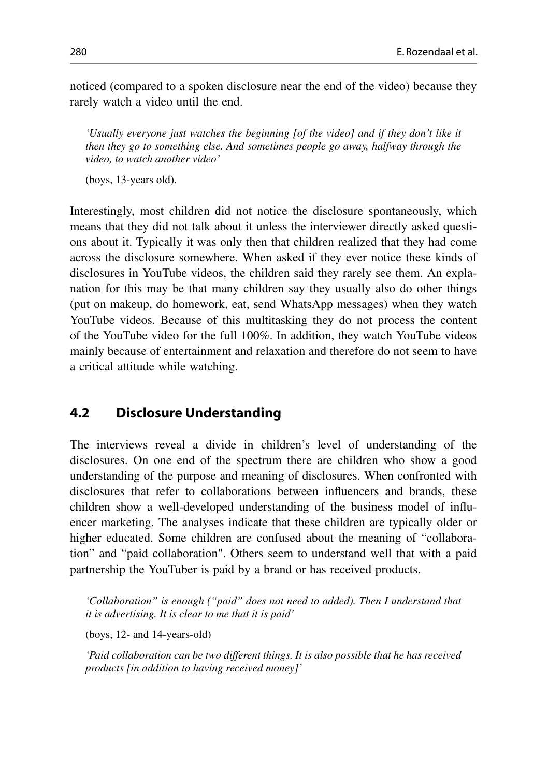noticed (compared to a spoken disclosure near the end of the video) because they rarely watch a video until the end.

*'Usually everyone just watches the beginning [of the video] and if they don't like it then they go to something else. And sometimes people go away, halfway through the video, to watch another video'*

(boys, 13-years old).

Interestingly, most children did not notice the disclosure spontaneously, which means that they did not talk about it unless the interviewer directly asked questions about it. Typically it was only then that children realized that they had come across the disclosure somewhere. When asked if they ever notice these kinds of disclosures in YouTube videos, the children said they rarely see them. An explanation for this may be that many children say they usually also do other things (put on makeup, do homework, eat, send WhatsApp messages) when they watch YouTube videos. Because of this multitasking they do not process the content of the YouTube video for the full 100%. In addition, they watch YouTube videos mainly because of entertainment and relaxation and therefore do not seem to have a critical attitude while watching.

#### **4.2 Disclosure Understanding**

The interviews reveal a divide in children's level of understanding of the disclosures. On one end of the spectrum there are children who show a good understanding of the purpose and meaning of disclosures. When confronted with disclosures that refer to collaborations between influencers and brands, these children show a well-developed understanding of the business model of influencer marketing. The analyses indicate that these children are typically older or higher educated. Some children are confused about the meaning of "collaboration" and "paid collaboration". Others seem to understand well that with a paid partnership the YouTuber is paid by a brand or has received products.

*'Collaboration" is enough ("paid" does not need to added). Then I understand that it is advertising. It is clear to me that it is paid'*

(boys, 12- and 14-years-old)

*'Paid collaboration can be two different things. It is also possible that he has received products [in addition to having received money]'*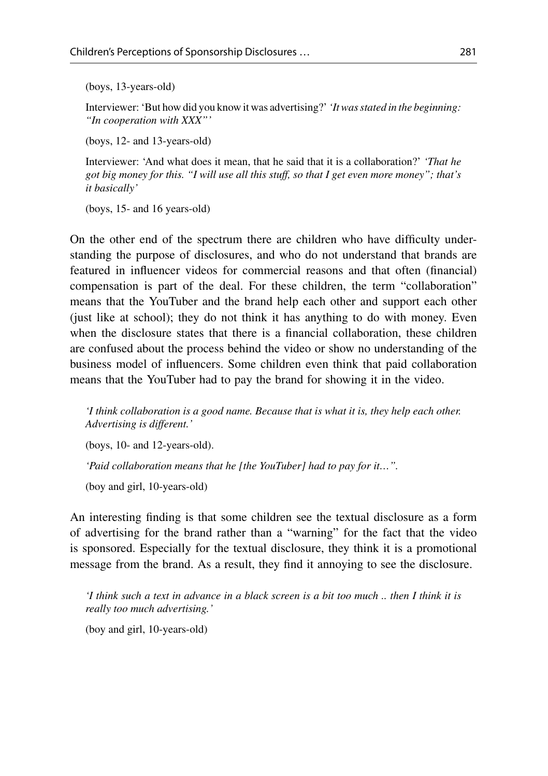(boys, 13-years-old)

Interviewer: 'But how did you know it was advertising?'*'It was stated in the beginning: "In cooperation with XXX"'*

(boys, 12- and 13-years-old)

Interviewer: 'And what does it mean, that he said that it is a collaboration?' *'That he got big money for this. "I will use all this stuff, so that I get even more money"; that's it basically'*

(boys, 15- and 16 years-old)

On the other end of the spectrum there are children who have difficulty understanding the purpose of disclosures, and who do not understand that brands are featured in influencer videos for commercial reasons and that often (financial) compensation is part of the deal. For these children, the term "collaboration" means that the YouTuber and the brand help each other and support each other (just like at school); they do not think it has anything to do with money. Even when the disclosure states that there is a financial collaboration, these children are confused about the process behind the video or show no understanding of the business model of influencers. Some children even think that paid collaboration means that the YouTuber had to pay the brand for showing it in the video.

*'I think collaboration is a good name. Because that is what it is, they help each other. Advertising is different.'*

(boys, 10- and 12-years-old).

*'Paid collaboration means that he [the YouTuber] had to pay for it…".*

(boy and girl, 10-years-old)

An interesting finding is that some children see the textual disclosure as a form of advertising for the brand rather than a "warning" for the fact that the video is sponsored. Especially for the textual disclosure, they think it is a promotional message from the brand. As a result, they find it annoying to see the disclosure.

*'I think such a text in advance in a black screen is a bit too much .. then I think it is really too much advertising.'*

(boy and girl, 10-years-old)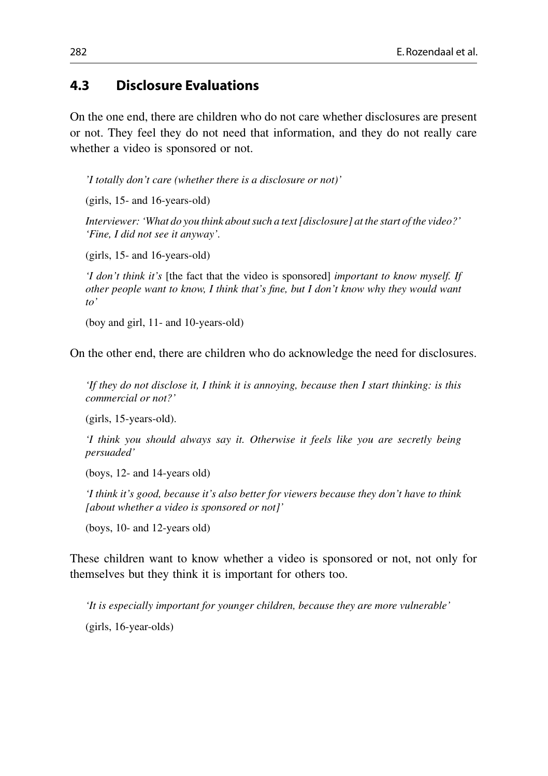## **4.3 Disclosure Evaluations**

On the one end, there are children who do not care whether disclosures are present or not. They feel they do not need that information, and they do not really care whether a video is sponsored or not.

*'I totally don't care (whether there is a disclosure or not)'*

(girls, 15- and 16-years-old)

*Interviewer: 'What do you think about such a text [disclosure] at the start of the video?' 'Fine, I did not see it anyway'.*

(girls, 15- and 16-years-old)

*'I don't think it's* [the fact that the video is sponsored] *important to know myself. If other people want to know, I think that's fine, but I don't know why they would want to'*

(boy and girl, 11- and 10-years-old)

On the other end, there are children who do acknowledge the need for disclosures.

*'If they do not disclose it, I think it is annoying, because then I start thinking: is this commercial or not?'*

(girls, 15-years-old).

*'I think you should always say it. Otherwise it feels like you are secretly being persuaded'*

(boys, 12- and 14-years old)

*'I think it's good, because it's also better for viewers because they don't have to think [about whether a video is sponsored or not]'*

(boys, 10- and 12-years old)

These children want to know whether a video is sponsored or not, not only for themselves but they think it is important for others too.

*'It is especially important for younger children, because they are more vulnerable'* (girls, 16-year-olds)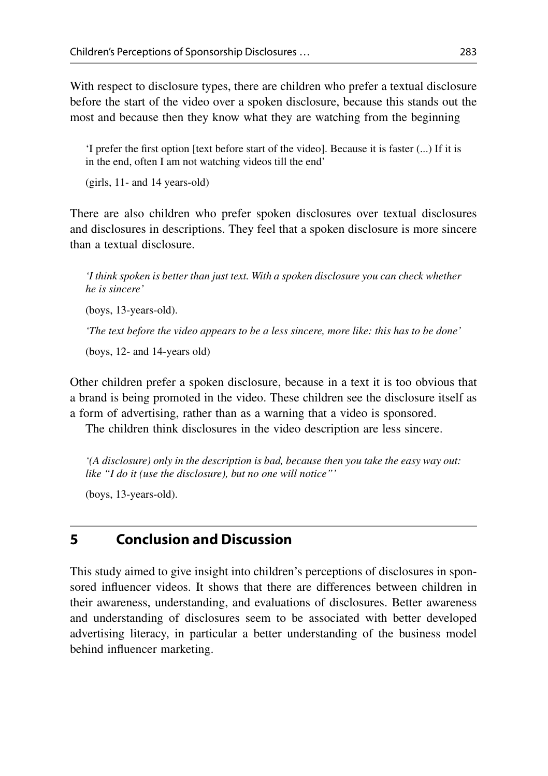With respect to disclosure types, there are children who prefer a textual disclosure before the start of the video over a spoken disclosure, because this stands out the most and because then they know what they are watching from the beginning

'I prefer the first option [text before start of the video]. Because it is faster (...) If it is in the end, often I am not watching videos till the end'

(girls, 11- and 14 years-old)

There are also children who prefer spoken disclosures over textual disclosures and disclosures in descriptions. They feel that a spoken disclosure is more sincere than a textual disclosure.

*'I think spoken is better than just text. With a spoken disclosure you can check whether he is sincere'*

(boys, 13-years-old).

*'The text before the video appears to be a less sincere, more like: this has to be done'*

(boys, 12- and 14-years old)

Other children prefer a spoken disclosure, because in a text it is too obvious that a brand is being promoted in the video. These children see the disclosure itself as a form of advertising, rather than as a warning that a video is sponsored.

The children think disclosures in the video description are less sincere.

*'(A disclosure) only in the description is bad, because then you take the easy way out: like "I do it (use the disclosure), but no one will notice"'*

(boys, 13-years-old).

## **5 Conclusion and Discussion**

This study aimed to give insight into children's perceptions of disclosures in sponsored influencer videos. It shows that there are differences between children in their awareness, understanding, and evaluations of disclosures. Better awareness and understanding of disclosures seem to be associated with better developed advertising literacy, in particular a better understanding of the business model behind influencer marketing.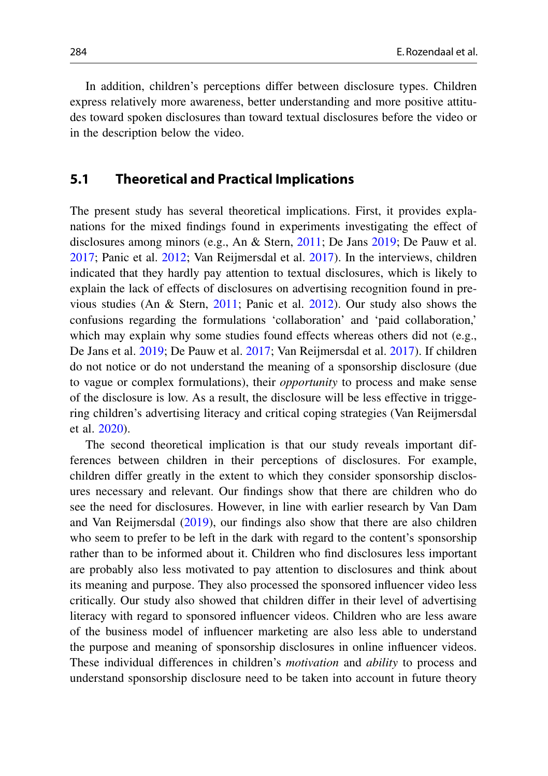In addition, children's perceptions differ between disclosure types. Children express relatively more awareness, better understanding and more positive attitudes toward spoken disclosures than toward textual disclosures before the video or in the description below the video.

## **5.1 Theoretical and Practical Implications**

The present study has several theoretical implications. First, it provides explanations for the mixed findings found in experiments investigating the effect of disclosures among minors (e.g., An & Stern, [2011;](#page-14-6) De Jans [2019;](#page-14-7) De Pauw et al. [2017;](#page-14-4) Panic et al. [2012;](#page-15-1) Van Reijmersdal et al. [2017\)](#page-15-2). In the interviews, children indicated that they hardly pay attention to textual disclosures, which is likely to explain the lack of effects of disclosures on advertising recognition found in previous studies (An & Stern, [2011;](#page-14-6) Panic et al. [2012\)](#page-15-1). Our study also shows the confusions regarding the formulations 'collaboration' and 'paid collaboration,' which may explain why some studies found effects whereas others did not (e.g., De Jans et al. [2019;](#page-14-7) De Pauw et al. [2017;](#page-14-4) Van Reijmersdal et al. [2017\)](#page-15-2). If children do not notice or do not understand the meaning of a sponsorship disclosure (due to vague or complex formulations), their *opportunity* to process and make sense of the disclosure is low. As a result, the disclosure will be less effective in triggering children's advertising literacy and critical coping strategies (Van Reijmersdal et al. [2020\)](#page-15-3).

The second theoretical implication is that our study reveals important differences between children in their perceptions of disclosures. For example, children differ greatly in the extent to which they consider sponsorship disclosures necessary and relevant. Our findings show that there are children who do see the need for disclosures. However, in line with earlier research by Van Dam and Van Reijmersdal [\(2019\)](#page-15-5), our findings also show that there are also children who seem to prefer to be left in the dark with regard to the content's sponsorship rather than to be informed about it. Children who find disclosures less important are probably also less motivated to pay attention to disclosures and think about its meaning and purpose. They also processed the sponsored influencer video less critically. Our study also showed that children differ in their level of advertising literacy with regard to sponsored influencer videos. Children who are less aware of the business model of influencer marketing are also less able to understand the purpose and meaning of sponsorship disclosures in online influencer videos. These individual differences in children's *motivation* and *ability* to process and understand sponsorship disclosure need to be taken into account in future theory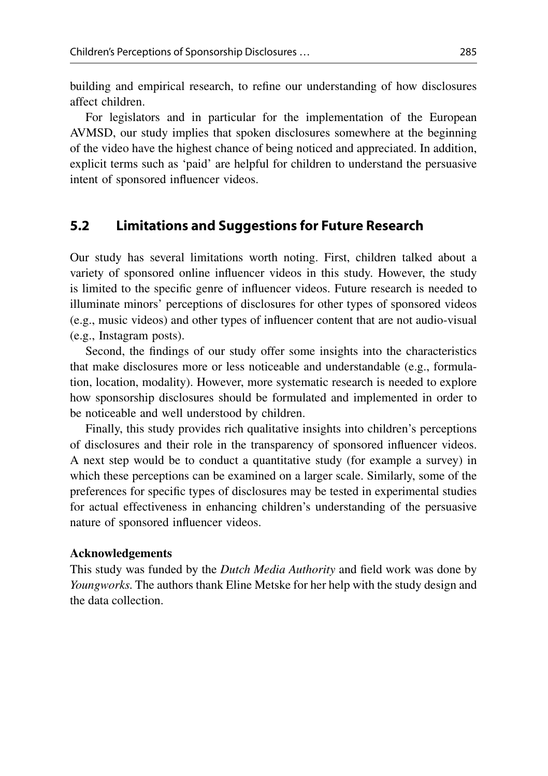building and empirical research, to refine our understanding of how disclosures affect children.

For legislators and in particular for the implementation of the European AVMSD, our study implies that spoken disclosures somewhere at the beginning of the video have the highest chance of being noticed and appreciated. In addition, explicit terms such as 'paid' are helpful for children to understand the persuasive intent of sponsored influencer videos.

## **5.2 Limitations and Suggestions for Future Research**

Our study has several limitations worth noting. First, children talked about a variety of sponsored online influencer videos in this study. However, the study is limited to the specific genre of influencer videos. Future research is needed to illuminate minors' perceptions of disclosures for other types of sponsored videos (e.g., music videos) and other types of influencer content that are not audio-visual (e.g., Instagram posts).

Second, the findings of our study offer some insights into the characteristics that make disclosures more or less noticeable and understandable (e.g., formulation, location, modality). However, more systematic research is needed to explore how sponsorship disclosures should be formulated and implemented in order to be noticeable and well understood by children.

Finally, this study provides rich qualitative insights into children's perceptions of disclosures and their role in the transparency of sponsored influencer videos. A next step would be to conduct a quantitative study (for example a survey) in which these perceptions can be examined on a larger scale. Similarly, some of the preferences for specific types of disclosures may be tested in experimental studies for actual effectiveness in enhancing children's understanding of the persuasive nature of sponsored influencer videos.

#### **Acknowledgements**

This study was funded by the *Dutch Media Authority* and field work was done by *Youngworks*. The authors thank Eline Metske for her help with the study design and the data collection.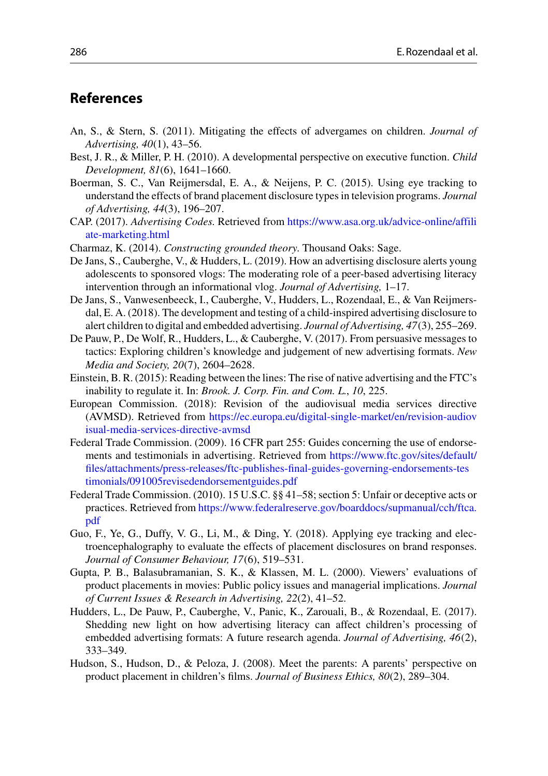#### **References**

- <span id="page-14-6"></span>An, S., & Stern, S. (2011). Mitigating the effects of advergames on children. *Journal of Advertising, 40*(1), 43–56.
- <span id="page-14-8"></span>Best, J. R., & Miller, P. H. (2010). A developmental perspective on executive function. *Child Development, 81*(6), 1641–1660.
- <span id="page-14-9"></span>Boerman, S. C., Van Reijmersdal, E. A., & Neijens, P. C. (2015). Using eye tracking to understand the effects of brand placement disclosure types in television programs. *Journal of Advertising, 44*(3), 196–207.
- <span id="page-14-5"></span>CAP. (2017). *Advertising Codes*. Retrieved from [https://www.asa.org.uk/advice-online/affili](https://www.asa.org.uk/advice-online/affiliate-marketing.html) ate-marketing.html
- <span id="page-14-14"></span>Charmaz, K. (2014). *Constructing grounded theory*. Thousand Oaks: Sage.
- <span id="page-14-7"></span>De Jans, S., Cauberghe, V., & Hudders, L. (2019). How an advertising disclosure alerts young adolescents to sponsored vlogs: The moderating role of a peer-based advertising literacy intervention through an informational vlog. *Journal of Advertising,* 1–17.
- De Jans, S., Vanwesenbeeck, I., Cauberghe, V., Hudders, L., Rozendaal, E., & Van Reijmersdal, E. A. (2018). The development and testing of a child-inspired advertising disclosure to alert children to digital and embedded advertising. *Journal of Advertising, 47*(3), 255–269.
- <span id="page-14-4"></span>De Pauw, P., De Wolf, R., Hudders, L., & Cauberghe, V. (2017). From persuasive messages to tactics: Exploring children's knowledge and judgement of new advertising formats. *New Media and Society, 20*(7), 2604–2628.
- <span id="page-14-1"></span>Einstein, B. R. (2015): Reading between the lines: The rise of native advertising and the FTC's inability to regulate it. In: *Brook. J. Corp. Fin. and Com. L.*, *10*, 225.
- <span id="page-14-0"></span>European Commission. (2018): Revision of the audiovisual media services directive (AVMSD). Retrieved from [https://ec.europa.eu/digital-single-market/en/revision-audiov](https://ec.europa.eu/digital-single-market/en/revision-audiovisual-media-services-directive-avmsd) isual-media-services-directive-avmsd
- <span id="page-14-11"></span>Federal Trade Commission. (2009). 16 CFR part 255: Guides concerning the use of endorsements and testimonials in advertising. Retrieved from https://www.ftc.gov/sites/default/ [files/attachments/press-releases/ftc-publishes-final-guides-governing-endorsements-tes](https://www.ftc.gov/sites/default/files/attachments/press-releases/ftc-publishes-final-guides-governing-endorsements-testimonials/091005revisedendorsementguides.pdf) timonials/091005revisedendorsementguides.pdf
- <span id="page-14-2"></span>Federal Trade Commission. (2010). 15 U.S.C. §§ 41–58; section 5: Unfair or deceptive acts or practices. Retrieved from [https://www.federalreserve.gov/boarddocs/supmanual/cch/ftca.](https://www.federalreserve.gov/boarddocs/supmanual/cch/ftca.pdf) pdf
- <span id="page-14-10"></span>Guo, F., Ye, G., Duffy, V. G., Li, M., & Ding, Y. (2018). Applying eye tracking and electroencephalography to evaluate the effects of placement disclosures on brand responses. *Journal of Consumer Behaviour, 17*(6), 519–531.
- <span id="page-14-12"></span>Gupta, P. B., Balasubramanian, S. K., & Klassen, M. L. (2000). Viewers' evaluations of product placements in movies: Public policy issues and managerial implications. *Journal of Current Issues & Research in Advertising, 22*(2), 41–52.
- <span id="page-14-3"></span>Hudders, L., De Pauw, P., Cauberghe, V., Panic, K., Zarouali, B., & Rozendaal, E. (2017). Shedding new light on how advertising literacy can affect children's processing of embedded advertising formats: A future research agenda. *Journal of Advertising, 46*(2), 333–349.
- <span id="page-14-13"></span>Hudson, S., Hudson, D., & Peloza, J. (2008). Meet the parents: A parents' perspective on product placement in children's films. *Journal of Business Ethics, 80*(2), 289–304.